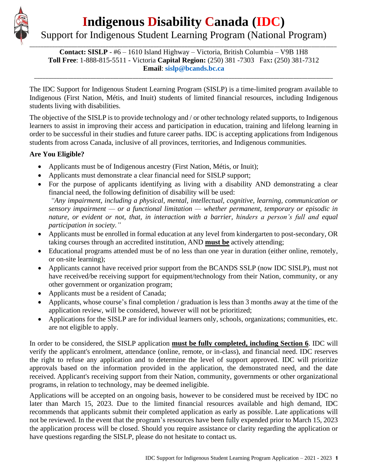# \_\_\_\_\_\_\_\_\_\_\_\_\_\_\_\_\_\_\_\_\_\_\_\_\_\_\_\_\_\_\_\_\_\_\_\_\_\_\_\_\_\_\_\_\_\_\_\_\_\_\_\_\_\_\_\_\_\_\_\_\_\_\_\_\_\_\_\_\_\_\_\_\_\_\_\_\_\_\_\_\_\_\_\_\_\_\_\_\_\_\_\_\_\_\_\_\_\_\_\_\_\_\_\_\_\_\_\_\_

# **Indigenous Disability Canada (IDC)**

# Support for Indigenous Student Learning Program (National Program)

**Contact: SISLP** - #6 – 1610 Island Highway – Victoria, British Columbia – V9B 1H8 **Toll Free**: 1-888-815-5511 - Victoria **Capital Region:** (250) 381 -7303 Fax**:** (250) 381-7312 **Email**: **[sislp@bcands.bc.ca](mailto:sislp@bcands.bc.ca)**

\_\_\_\_\_\_\_\_\_\_\_\_\_\_\_\_\_\_\_\_\_\_\_\_\_\_\_\_\_\_\_\_\_\_\_\_\_\_\_\_\_\_\_\_\_\_\_\_\_\_\_\_\_\_\_\_\_\_\_\_\_\_\_\_\_\_\_\_\_\_\_\_\_\_\_\_\_\_\_\_\_\_\_\_\_\_\_\_\_\_\_\_\_\_\_\_\_\_\_\_\_\_\_\_\_\_

The IDC Support for Indigenous Student Learning Program (SISLP) is a time-limited program available to Indigenous (First Nation, Métis, and Inuit) students of limited financial resources, including Indigenous students living with disabilities.

The objective of the SISLP is to provide technology and / or other technology related supports, to Indigenous learners to assist in improving their access and participation in education, training and lifelong learning in order to be successful in their studies and future career paths. IDC is accepting applications from Indigenous students from across Canada, inclusive of all provinces, territories, and Indigenous communities.

#### **Are You Eligible?**

- Applicants must be of Indigenous ancestry (First Nation, Métis, or Inuit);
- Applicants must demonstrate a clear financial need for SISLP support;
- For the purpose of applicants identifying as living with a disability AND demonstrating a clear financial need, the following definition of disability will be used:

*"Any impairment, including a physical, mental, intellectual, cognitive, learning, communication or sensory impairment — or a functional limitation — whether permanent, temporary or episodic in nature, or evident or not, that, in interaction with a barrier, hinders a person's full and equal participation in society."*

- Applicants must be enrolled in formal education at any level from kindergarten to post-secondary, OR taking courses through an accredited institution, AND **must be** actively attending;
- Educational programs attended must be of no less than one year in duration (either online, remotely, or on-site learning);
- Applicants cannot have received prior support from the BCANDS SSLP (now IDC SISLP), must not have received/be receiving support for equipment/technology from their Nation, community, or any other government or organization program;
- Applicants must be a resident of Canada;
- Applicants, whose course's final completion / graduation is less than 3 months away at the time of the application review, will be considered, however will not be prioritized;
- Applications for the SISLP are for individual learners only, schools, organizations; communities, etc. are not eligible to apply.

In order to be considered, the SISLP application **must be fully completed, including Section 6**. IDC will verify the applicant's enrolment, attendance (online, remote, or in-class), and financial need. IDC reserves the right to refuse any application and to determine the level of support approved. IDC will prioritize approvals based on the information provided in the application, the demonstrated need, and the date received. Applicant's receiving support from their Nation, community, governments or other organizational programs, in relation to technology, may be deemed ineligible.

Applications will be accepted on an ongoing basis, however to be considered must be received by IDC no later than March 15, 2023. Due to the limited financial resources available and high demand, IDC recommends that applicants submit their completed application as early as possible. Late applications will not be reviewed. In the event that the program's resources have been fully expended prior to March 15, 2023 the application process will be closed. Should you require assistance or clarity regarding the application or have questions regarding the SISLP, please do not hesitate to contact us.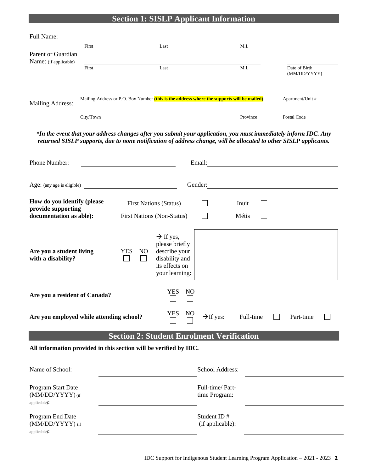#### **Section 1: SISLP Applicant Information**

| Full Name:            |                                                                                            |                  |          |                               |
|-----------------------|--------------------------------------------------------------------------------------------|------------------|----------|-------------------------------|
|                       | First                                                                                      | Last             | M.I.     |                               |
| Parent or Guardian    |                                                                                            |                  |          |                               |
| Name: (if applicable) |                                                                                            |                  |          |                               |
|                       | First                                                                                      | Last             | M.I.     | Date of Birth<br>(MM/DD/YYYY) |
|                       |                                                                                            |                  |          |                               |
| Mailing Address:      | Mailing Address or P.O. Box Number (this is the address where the supports will be mailed) | Apartment/Unit # |          |                               |
|                       | City/Town                                                                                  |                  | Province | Postal Code                   |

*\*In the event that your address changes after you submit your application, you must immediately inform IDC. Any returned SISLP supports, due to none notification of address change, will be allocated to other SISLP applicants.*

| Phone Number:                                                                                                         | Email:                                                       | <u> 1980 - Jan Samuel Barbara, politik eta politik eta politik eta politik eta politik eta politik eta politik e</u> |                |                                 |                |  |              |           |  |
|-----------------------------------------------------------------------------------------------------------------------|--------------------------------------------------------------|----------------------------------------------------------------------------------------------------------------------|----------------|---------------------------------|----------------|--|--------------|-----------|--|
| Age: (any age is eligible)                                                                                            | Gender:<br><u> 1989 - Jan Sterlinger, fransk politiker (</u> |                                                                                                                      |                |                                 |                |  |              |           |  |
| How do you identify (please<br>provide supporting<br>documentation as able):                                          | <b>First Nations (Non-Status)</b>                            | <b>First Nations (Status)</b>                                                                                        |                |                                 | Inuit<br>Métis |  |              |           |  |
| Are you a student living<br>with a disability?                                                                        | <b>YES</b><br>NO.                                            | $\rightarrow$ If yes,<br>please briefly<br>describe your<br>disability and<br>its effects on<br>your learning:       |                |                                 |                |  |              |           |  |
| Are you a resident of Canada?                                                                                         |                                                              | <b>YES</b>                                                                                                           | N <sub>O</sub> |                                 |                |  |              |           |  |
| YES<br>Are you employed while attending school?                                                                       |                                                              |                                                                                                                      | N <sub>O</sub> | $\rightarrow$ If yes:           | Full-time      |  | $\mathsf{L}$ | Part-time |  |
| <b>Section 2: Student Enrolment Verification</b><br>All information provided in this section will be verified by IDC. |                                                              |                                                                                                                      |                |                                 |                |  |              |           |  |
| Name of School:                                                                                                       | School Address:                                              |                                                                                                                      |                |                                 |                |  |              |           |  |
| Program Start Date<br>(MM/DD/YYYY) (if<br>applicable):                                                                | Full-time/Part-<br>time Program:                             |                                                                                                                      |                |                                 |                |  |              |           |  |
| Program End Date<br>(MM/DD/YYYY) (if                                                                                  |                                                              |                                                                                                                      |                | Student ID#<br>(if applicable): |                |  |              |           |  |

applicable):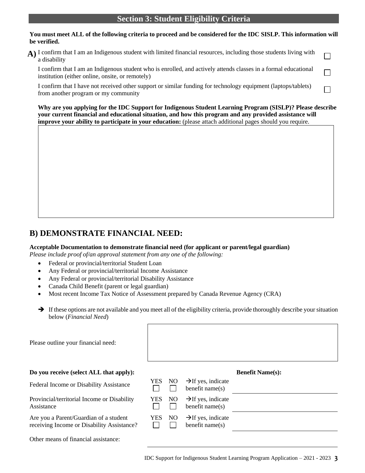#### **Section 3: Student Eligibility Criteria**

#### **You must meet ALL of the following criteria to proceed and be considered for the IDC SISLP. This information will be verified.**

**A)** I confirm that I am an Indigenous student with limited financial resources, including those students living with  $\Box$ a disability

I confirm that I am an Indigenous student who is enrolled, and actively attends classes in a formal educational institution (either online, onsite, or remotely)

I confirm that I have not received other support or similar funding for technology equipment (laptops/tablets) from another program or my community

**Why are you applying for the IDC Support for Indigenous Student Learning Program (SISLP)? Please describe your current financial and educational situation, and how this program and any provided assistance will improve your ability to participate in your education:** (please attach additional pages should you require.

П

 $\mathbf{I}$ 

### **B) DEMONSTRATE FINANCIAL NEED:**

#### **Acceptable Documentation to demonstrate financial need (for applicant or parent/legal guardian)**

*Please include proof of/an approval statement from any one of the following:*

- Federal or provincial/territorial Student Loan
- Any Federal or provincial/territorial Income Assistance
- Any Federal or provincial/territorial Disability Assistance
- Canada Child Benefit (parent or legal guardian)

Other means of financial assistance:

- Most recent Income Tax Notice of Assessment prepared by Canada Revenue Agency (CRA)
- → If these options are not available and you meet all of the eligibility criteria, provide thoroughly describe your situation below (*Financial Need*)

| Please outline your financial need:                                                  |            |    |                                                      |                         |
|--------------------------------------------------------------------------------------|------------|----|------------------------------------------------------|-------------------------|
| Do you receive (select ALL that apply):                                              |            |    |                                                      | <b>Benefit Name(s):</b> |
| Federal Income or Disability Assistance                                              | YES.       | NO | $\rightarrow$ If yes, indicate<br>benefit name $(s)$ |                         |
| Provincial/territorial Income or Disability<br>Assistance                            | YES.       | NO | $\rightarrow$ If yes, indicate<br>benefit name $(s)$ |                         |
| Are you a Parent/Guardian of a student<br>receiving Income or Disability Assistance? | <b>YES</b> | NO | $\rightarrow$ If yes, indicate<br>benefit name $(s)$ |                         |

IDC Support for Indigenous Student Learning Program Application – 2021 - 2023 **3**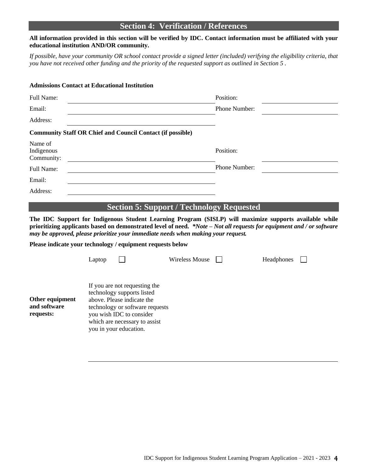#### **Section 4: Verification / References**

#### **All information provided in this section will be verified by IDC. Contact information must be affiliated with your educational institution AND/OR community.**

*If possible, have your community OR school contact provide a signed letter (included) verifying the eligibility criteria, that you have not received other funding and the priority of the requested support as outlined in Section 5 .*

| <b>Admissions Contact at Educational Institution</b> |                                                                   |  |
|------------------------------------------------------|-------------------------------------------------------------------|--|
| Full Name:                                           | Position:                                                         |  |
| Email:                                               | Phone Number:                                                     |  |
| Address:                                             |                                                                   |  |
|                                                      | <b>Community Staff OR Chief and Council Contact (if possible)</b> |  |
| Name of<br>Indigenous<br>Community:                  | Position:                                                         |  |
| Full Name:                                           | Phone Number:                                                     |  |
| Email:                                               |                                                                   |  |
| Address:                                             |                                                                   |  |
|                                                      | <b>Section 5: Support / Technology Requested</b>                  |  |

**The IDC Support for Indigenous Student Learning Program (SISLP) will maximize supports available while prioritizing applicants based on demonstrated level of need.** *\*Note – Not all requests for equipment and / or software may be approved, please prioritize your immediate needs when making your request.*

**Please indicate your technology / equipment requests below**

|                                              | Laptop |                                                                                                                                                                                                                     | Wireless Mouse | Headphones |  |
|----------------------------------------------|--------|---------------------------------------------------------------------------------------------------------------------------------------------------------------------------------------------------------------------|----------------|------------|--|
| Other equipment<br>and software<br>requests: |        | If you are not requesting the<br>technology supports listed<br>above. Please indicate the<br>technology or software requests<br>you wish IDC to consider<br>which are necessary to assist<br>you in your education. |                |            |  |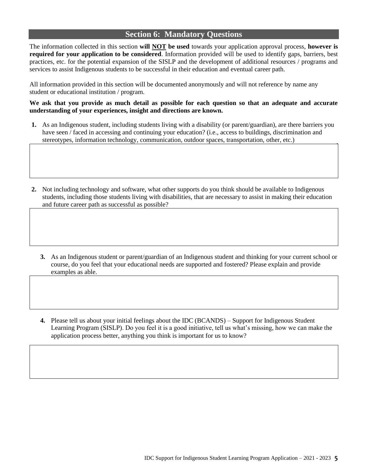#### **Section 6: Mandatory Questions**

The information collected in this section **will NOT be used** towards your application approval process, **however is required for your application to be considered**. Information provided will be used to identify gaps, barriers, best practices, etc. for the potential expansion of the SISLP and the development of additional resources / programs and services to assist Indigenous students to be successful in their education and eventual career path.

All information provided in this section will be documented anonymously and will not reference by name any student or educational institution / program.

#### **We ask that you provide as much detail as possible for each question so that an adequate and accurate understanding of your experiences, insight and directions are known.**

- **1.** As an Indigenous student, including students living with a disability (or parent/guardian), are there barriers you have seen / faced in accessing and continuing your education? (i.e., access to buildings, discrimination and stereotypes, information technology, communication, outdoor spaces, transportation, other, etc.)
- **2.** Not including technology and software, what other supports do you think should be available to Indigenous students, including those students living with disabilities, that are necessary to assist in making their education and future career path as successful as possible?
	- **3.** As an Indigenous student or parent/guardian of an Indigenous student and thinking for your current school or course, do you feel that your educational needs are supported and fostered? Please explain and provide examples as able.
	- **4.** Please tell us about your initial feelings about the IDC (BCANDS) Support for Indigenous Student Learning Program (SISLP). Do you feel it is a good initiative, tell us what's missing, how we can make the application process better, anything you think is important for us to know?